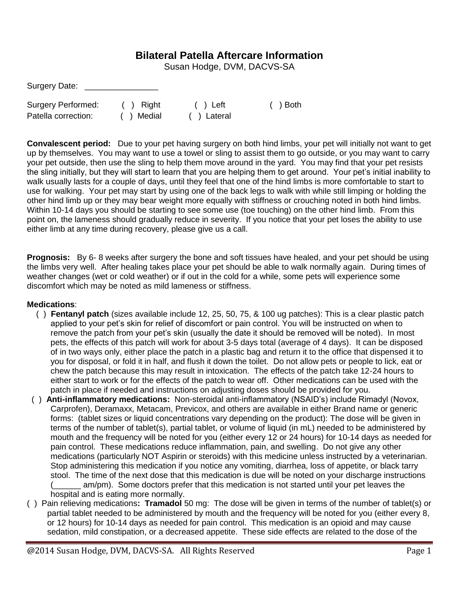## **Bilateral Patella Aftercare Information**

Susan Hodge, DVM, DACVS-SA

| Surgery Date:             |           |             |          |
|---------------------------|-----------|-------------|----------|
| <b>Surgery Performed:</b> | ( ) Right | $( )$ Left  | ( ) Both |
| Patella correction:       | () Medial | ( ) Lateral |          |

**Convalescent period:** Due to your pet having surgery on both hind limbs, your pet will initially not want to get up by themselves. You may want to use a towel or sling to assist them to go outside, or you may want to carry your pet outside, then use the sling to help them move around in the yard. You may find that your pet resists the sling initially, but they will start to learn that you are helping them to get around. Your pet's initial inability to walk usually lasts for a couple of days, until they feel that one of the hind limbs is more comfortable to start to use for walking. Your pet may start by using one of the back legs to walk with while still limping or holding the other hind limb up or they may bear weight more equally with stiffness or crouching noted in both hind limbs. Within 10-14 days you should be starting to see some use (toe touching) on the other hind limb. From this point on, the lameness should gradually reduce in severity. If you notice that your pet loses the ability to use either limb at any time during recovery, please give us a call.

**Prognosis:** By 6- 8 weeks after surgery the bone and soft tissues have healed, and your pet should be using the limbs very well. After healing takes place your pet should be able to walk normally again. During times of weather changes (wet or cold weather) or if out in the cold for a while, some pets will experience some discomfort which may be noted as mild lameness or stiffness.

## **Medications**:

- ( ) **Fentanyl patch** (sizes available include 12, 25, 50, 75, & 100 ug patches): This is a clear plastic patch applied to your pet's skin for relief of discomfort or pain control. You will be instructed on when to remove the patch from your pet's skin (usually the date it should be removed will be noted). In most pets, the effects of this patch will work for about 3-5 days total (average of 4 days). It can be disposed of in two ways only, either place the patch in a plastic bag and return it to the office that dispensed it to you for disposal, or fold it in half, and flush it down the toilet. Do not allow pets or people to lick, eat or chew the patch because this may result in intoxication. The effects of the patch take 12-24 hours to either start to work or for the effects of the patch to wear off. Other medications can be used with the patch in place if needed and instructions on adjusting doses should be provided for you.
- ( ) **Anti-inflammatory medications:** Non-steroidal anti-inflammatory (NSAID's) include Rimadyl (Novox, Carprofen), Deramaxx, Metacam, Previcox, and others are available in either Brand name or generic forms: (tablet sizes or liquid concentrations vary depending on the product): The dose will be given in terms of the number of tablet(s), partial tablet, or volume of liquid (in mL) needed to be administered by mouth and the frequency will be noted for you (either every 12 or 24 hours) for 10-14 days as needed for pain control. These medications reduce inflammation, pain, and swelling. Do not give any other medications (particularly NOT Aspirin or steroids) with this medicine unless instructed by a veterinarian. Stop administering this medication if you notice any vomiting, diarrhea, loss of appetite, or black tarry stool. The time of the next dose that this medication is due will be noted on your discharge instructions am/pm). Some doctors prefer that this medication is not started until your pet leaves the hospital and is eating more normally.
- ( ) Pain relieving medications**: Tramadol** 50 mg: The dose will be given in terms of the number of tablet(s) or partial tablet needed to be administered by mouth and the frequency will be noted for you (either every 8, or 12 hours) for 10-14 days as needed for pain control. This medication is an opioid and may cause sedation, mild constipation, or a decreased appetite. These side effects are related to the dose of the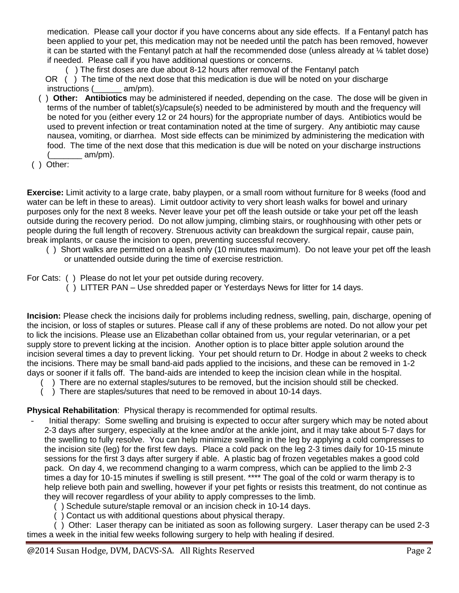medication. Please call your doctor if you have concerns about any side effects. If a Fentanyl patch has been applied to your pet, this medication may not be needed until the patch has been removed, however it can be started with the Fentanyl patch at half the recommended dose (unless already at ¼ tablet dose) if needed. Please call if you have additional questions or concerns.

( ) The first doses are due about 8-12 hours after removal of the Fentanyl patch

OR () The time of the next dose that this medication is due will be noted on your discharge instructions (  $am/m$ ).

- ( ) **Other: Antibiotics** may be administered if needed, depending on the case. The dose will be given in terms of the number of tablet(s)/capsule(s) needed to be administered by mouth and the frequency will be noted for you (either every 12 or 24 hours) for the appropriate number of days. Antibiotics would be used to prevent infection or treat contamination noted at the time of surgery. Any antibiotic may cause nausea, vomiting, or diarrhea. Most side effects can be minimized by administering the medication with food. The time of the next dose that this medication is due will be noted on your discharge instructions  $($  am/pm).
- ( ) Other:

**Exercise:** Limit activity to a large crate, baby playpen, or a small room without furniture for 8 weeks (food and water can be left in these to areas). Limit outdoor activity to very short leash walks for bowel and urinary purposes only for the next 8 weeks. Never leave your pet off the leash outside or take your pet off the leash outside during the recovery period. Do not allow jumping, climbing stairs, or roughhousing with other pets or people during the full length of recovery. Strenuous activity can breakdown the surgical repair, cause pain, break implants, or cause the incision to open, preventing successful recovery.

( ) Short walks are permitted on a leash only (10 minutes maximum). Do not leave your pet off the leash or unattended outside during the time of exercise restriction.

For Cats: ( ) Please do not let your pet outside during recovery.

( ) LITTER PAN – Use shredded paper or Yesterdays News for litter for 14 days.

**Incision:** Please check the incisions daily for problems including redness, swelling, pain, discharge, opening of the incision, or loss of staples or sutures. Please call if any of these problems are noted. Do not allow your pet to lick the incisions. Please use an Elizabethan collar obtained from us, your regular veterinarian, or a pet supply store to prevent licking at the incision. Another option is to place bitter apple solution around the incision several times a day to prevent licking. Your pet should return to Dr. Hodge in about 2 weeks to check the incisions. There may be small band-aid pads applied to the incisions, and these can be removed in 1-2 days or sooner if it falls off. The band-aids are intended to keep the incision clean while in the hospital.

- ( ) There are no external staples/sutures to be removed, but the incision should still be checked.
- ) There are staples/sutures that need to be removed in about 10-14 days.

**Physical Rehabilitation**: Physical therapy is recommended for optimal results.

- Initial therapy: Some swelling and bruising is expected to occur after surgery which may be noted about 2-3 days after surgery, especially at the knee and/or at the ankle joint, and it may take about 5-7 days for the swelling to fully resolve. You can help minimize swelling in the leg by applying a cold compresses to the incision site (leg) for the first few days. Place a cold pack on the leg 2-3 times daily for 10-15 minute sessions for the first 3 days after surgery if able. A plastic bag of frozen vegetables makes a good cold pack. On day 4, we recommend changing to a warm compress, which can be applied to the limb 2-3 times a day for 10-15 minutes if swelling is still present. \*\*\*\* The goal of the cold or warm therapy is to help relieve both pain and swelling, however if your pet fights or resists this treatment, do not continue as they will recover regardless of your ability to apply compresses to the limb.
	- ( ) Schedule suture/staple removal or an incision check in 10-14 days.
	- ( ) Contact us with additional questions about physical therapy.

( ) Other: Laser therapy can be initiated as soon as following surgery. Laser therapy can be used 2-3 times a week in the initial few weeks following surgery to help with healing if desired.